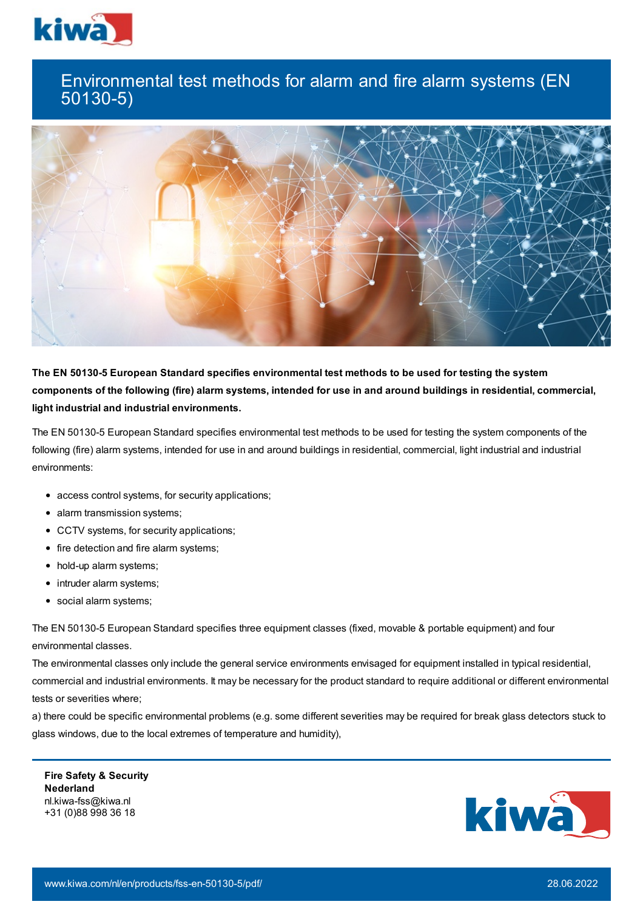

## Environmental test methods for alarm and fire alarm systems (EN 50130-5)



**The EN 50130-5 European Standard specifies environmental test methods to be used for testing the system** components of the following (fire) alarm systems, intended for use in and around buildings in residential, commercial, **light industrial and industrial environments.**

The EN 50130-5 European Standard specifies environmental test methods to be used for testing the system components of the following (fire) alarm systems, intended for use in and around buildings in residential, commercial, light industrial and industrial environments:

- access control systems, for security applications;
- alarm transmission systems;
- CCTV systems, for security applications;
- fire detection and fire alarm systems;
- hold-up alarm systems;
- intruder alarm systems;
- social alarm systems;

The EN 50130-5 European Standard specifies three equipment classes (fixed, movable & portable equipment) and four environmental classes.

The environmental classes only include the general service environments envisaged for equipment installed in typical residential, commercial and industrial environments. It may be necessary for the product standard to require additional or different environmental tests or severities where;

a) there could be specific environmental problems (e.g. some different severities may be required for break glass detectors stuck to glass windows, due to the local extremes of temperature and humidity),

**Fire Safety & Security Nederland** nl.kiwa-fss@kiwa.nl +31 (0)88 998 36 18